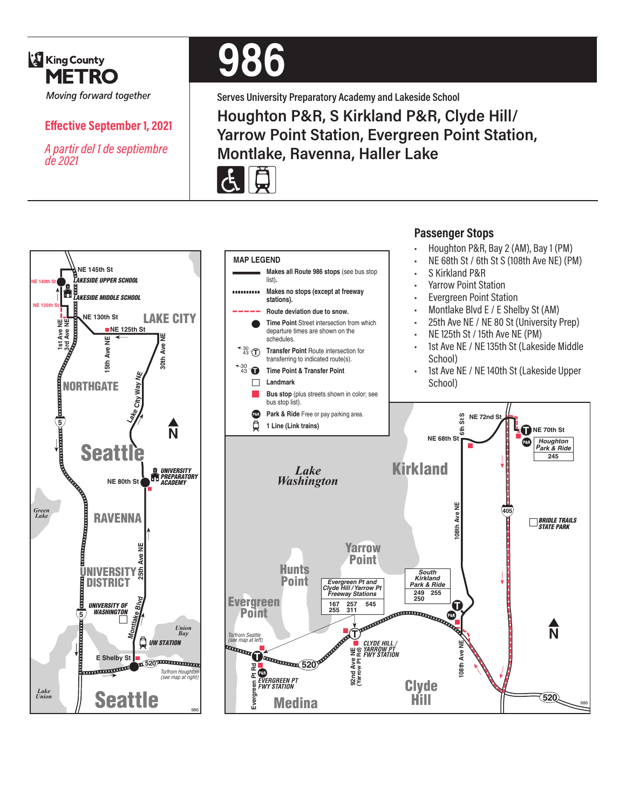

*de 2021*

**Effective September 1, 2021**

*A partir del 1 de septiembre* 

# **986**

**Serves University Preparatory Academy and Lakeside School Houghton P&R, S Kirkland P&R, Clyde Hill/ Yarrow Point Station, Evergreen Point Station, Montlake, Ravenna, Haller Lake**







**Passenger Stops**